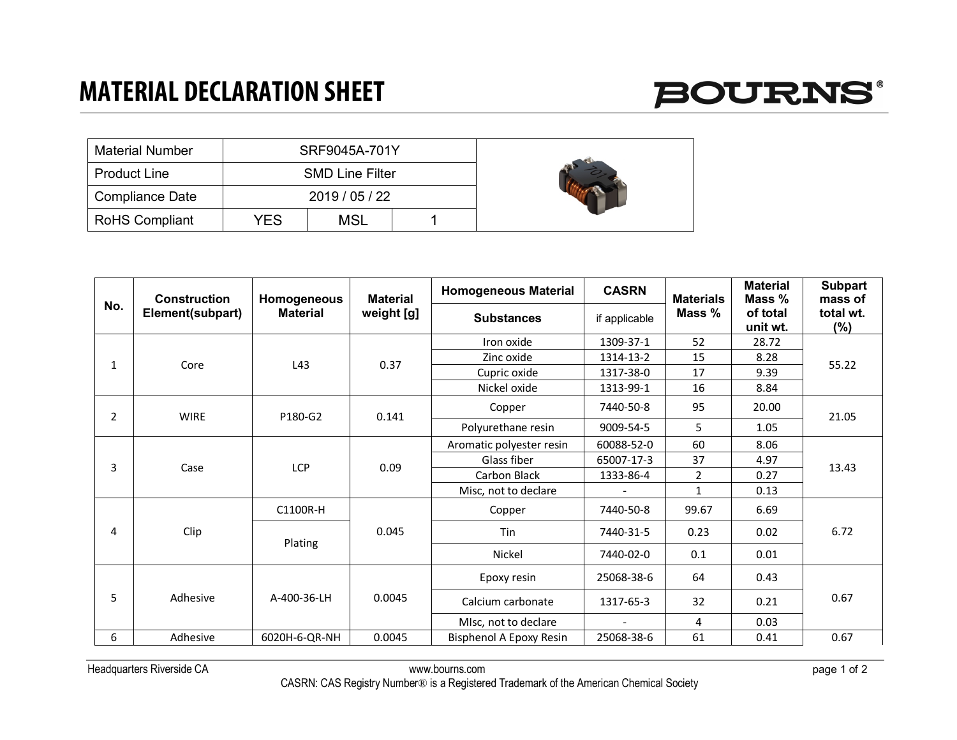

| <b>Material Number</b> |     | SRF9045A-701Y          |  |  |
|------------------------|-----|------------------------|--|--|
| <b>Product Line</b>    |     | <b>SMD Line Filter</b> |  |  |
| <b>Compliance Date</b> |     | 2019 / 05 / 22         |  |  |
| <b>RoHS Compliant</b>  | YES | MSL                    |  |  |

| No.            | <b>Construction</b><br>Element(subpart) | Homogeneous<br><b>Material</b> | <b>Material</b><br>weight [g] | <b>Homogeneous Material</b> | <b>CASRN</b>  | <b>Materials</b><br>Mass % | <b>Material</b><br>Mass % | <b>Subpart</b><br>mass of |
|----------------|-----------------------------------------|--------------------------------|-------------------------------|-----------------------------|---------------|----------------------------|---------------------------|---------------------------|
|                |                                         |                                |                               | <b>Substances</b>           | if applicable |                            | of total<br>unit wt.      | total wt.<br>(%)          |
| 1              | Core                                    | L43                            | 0.37                          | Iron oxide                  | 1309-37-1     | 52                         | 28.72                     | 55.22                     |
|                |                                         |                                |                               | Zinc oxide                  | 1314-13-2     | 15                         | 8.28                      |                           |
|                |                                         |                                |                               | Cupric oxide                | 1317-38-0     | 17                         | 9.39                      |                           |
|                |                                         |                                |                               | Nickel oxide                | 1313-99-1     | 16                         | 8.84                      |                           |
| $\overline{2}$ | <b>WIRE</b>                             | P180-G2                        | 0.141                         | Copper                      | 7440-50-8     | 95                         | 20.00                     | 21.05                     |
|                |                                         |                                |                               | Polyurethane resin          | 9009-54-5     | 5                          | 1.05                      |                           |
| 3              |                                         | <b>LCP</b>                     | 0.09                          | Aromatic polyester resin    | 60088-52-0    | 60                         | 8.06                      | 13.43                     |
|                |                                         |                                |                               | Glass fiber                 | 65007-17-3    | 37                         | 4.97                      |                           |
|                | Case                                    |                                |                               | Carbon Black                | 1333-86-4     | $\overline{2}$             | 0.27                      |                           |
|                |                                         |                                |                               | Misc, not to declare        |               | $\mathbf{1}$               | 0.13                      |                           |
| 4              | Clip                                    | C1100R-H                       | 0.045                         | Copper                      | 7440-50-8     | 99.67                      | 6.69                      | 6.72                      |
|                |                                         | Plating                        |                               | Tin                         | 7440-31-5     | 0.23                       | 0.02                      |                           |
|                |                                         |                                |                               | Nickel                      | 7440-02-0     | 0.1                        | 0.01                      |                           |
| 5              | Adhesive                                | A-400-36-LH                    | 0.0045                        | Epoxy resin                 | 25068-38-6    | 64                         | 0.43                      | 0.67                      |
|                |                                         |                                |                               | Calcium carbonate           | 1317-65-3     | 32                         | 0.21                      |                           |
|                |                                         |                                |                               | MIsc, not to declare        |               | 4                          | 0.03                      |                           |
| 6              | Adhesive                                | 6020H-6-QR-NH                  | 0.0045                        | Bisphenol A Epoxy Resin     | 25068-38-6    | 61                         | 0.41                      | 0.67                      |